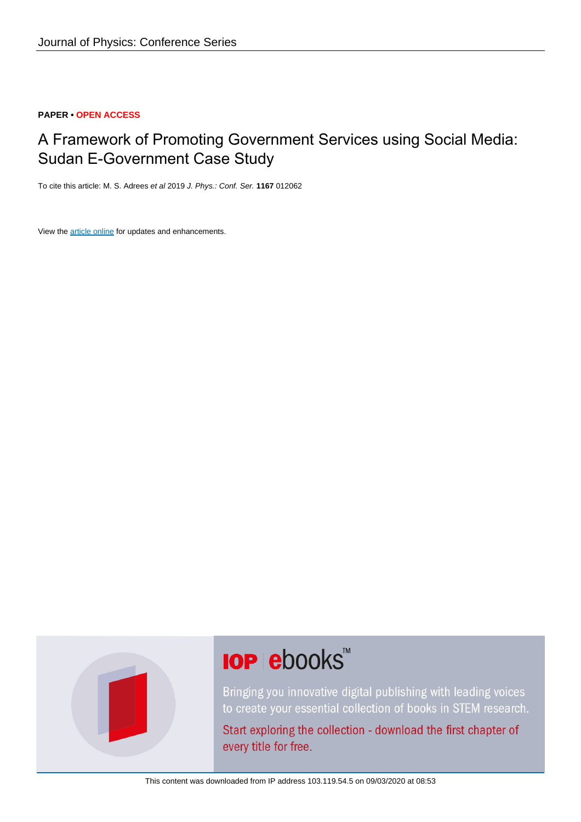# **PAPER • OPEN ACCESS**

# A Framework of Promoting Government Services using Social Media: Sudan E-Government Case Study

To cite this article: M. S. Adrees et al 2019 J. Phys.: Conf. Ser. **1167** 012062

View the [article online](https://doi.org/10.1088/1742-6596/1167/1/012062) for updates and enhancements.



# **IOP ebooks**™

Bringing you innovative digital publishing with leading voices to create your essential collection of books in STEM research.

Start exploring the collection - download the first chapter of every title for free.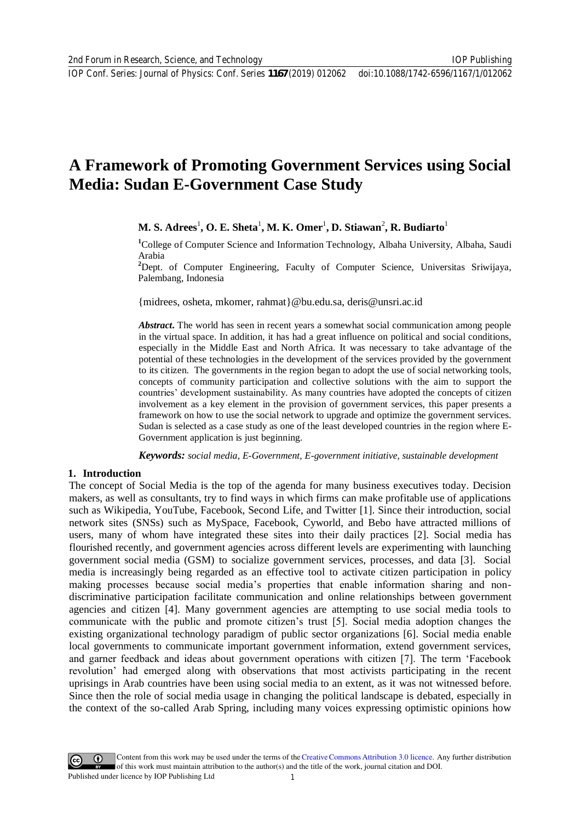# **A Framework of Promoting Government Services using Social Media: Sudan E-Government Case Study**

# $\mathbf{M.~S.~Adrees}^1, \mathbf{O.~E.~Sheta}^1, \mathbf{M.~K.~Omer}^1, \mathbf{D.~Stiawan}^2, \mathbf{R.~Budiarto}^1$

<sup>1</sup>College of Computer Science and Information Technology, Albaha University, Albaha, Saudi Arabia

IOP Publishing

<sup>2</sup>Dept. of Computer Engineering, Faculty of Computer Science, Universitas Sriwijaya, Palembang, Indonesia

{midrees, osheta, mkomer, rahmat}@bu.edu.sa, deris@unsri.ac.id

Abstract. The world has seen in recent years a somewhat social communication among people in the virtual space. In addition, it has had a great influence on political and social conditions, especially in the Middle East and North Africa. It was necessary to take advantage of the potential of these technologies in the development of the services provided by the government to its citizen. The governments in the region began to adopt the use of social networking tools, concepts of community participation and collective solutions with the aim to support the countries' development sustainability. As many countries have adopted the concepts of citizen involvement as a key element in the provision of government services, this paper presents a framework on how to use the social network to upgrade and optimize the government services. Sudan is selected as a case study as one of the least developed countries in the region where E-Government application is just beginning.

*Keywords: social media, E-Government, E-government initiative, sustainable development*

#### **1. Introduction**

The concept of Social Media is the top of the agenda for many business executives today. Decision makers, as well as consultants, try to find ways in which firms can make profitable use of applications such as Wikipedia, YouTube, Facebook, Second Life, and Twitter [1]. Since their introduction, social network sites (SNSs) such as MySpace, Facebook, Cyworld, and Bebo have attracted millions of users, many of whom have integrated these sites into their daily practices [2]. Social media has flourished recently, and government agencies across different levels are experimenting with launching government social media (GSM) to socialize government services, processes, and data [3]. Social media is increasingly being regarded as an effective tool to activate citizen participation in policy making processes because social media's properties that enable information sharing and nondiscriminative participation facilitate communication and online relationships between government agencies and citizen [4]. Many government agencies are attempting to use social media tools to communicate with the public and promote citizen's trust [5]. Social media adoption changes the existing organizational technology paradigm of public sector organizations [6]. Social media enable local governments to communicate important government information, extend government services, and garner feedback and ideas about government operations with citizen [7]. The term 'Facebook revolution' had emerged along with observations that most activists participating in the recent uprisings in Arab countries have been using social media to an extent, as it was not witnessed before. Since then the role of social media usage in changing the political landscape is debated, especially in the context of the so-called Arab Spring, including many voices expressing optimistic opinions how

Content from this work may be used under the terms of the [Creative Commons Attribution 3.0 licence.](http://creativecommons.org/licenses/by/3.0) Any further distribution of this work must maintain attribution to the author(s) and the title of the work, journal citation and DOI. Published under licence by IOP Publishing Ltd 1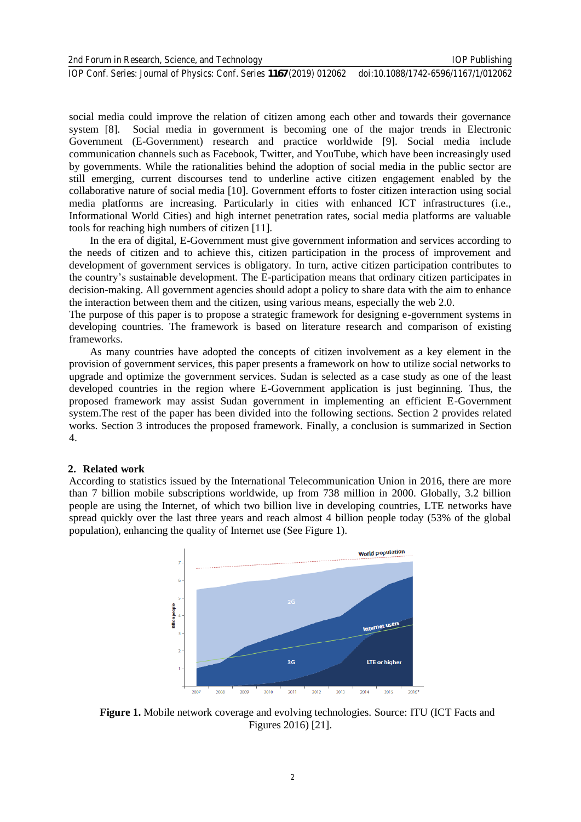social media could improve the relation of citizen among each other and towards their governance system [8]. Social media in government is becoming one of the major trends in Electronic Government (E-Government) research and practice worldwide [9]. Social media include communication channels such as Facebook, Twitter, and YouTube, which have been increasingly used by governments. While the rationalities behind the adoption of social media in the public sector are still emerging, current discourses tend to underline active citizen engagement enabled by the collaborative nature of social media [10]. Government efforts to foster citizen interaction using social media platforms are increasing. Particularly in cities with enhanced ICT infrastructures (i.e., Informational World Cities) and high internet penetration rates, social media platforms are valuable tools for reaching high numbers of citizen [11].

In the era of digital, E-Government must give government information and services according to the needs of citizen and to achieve this, citizen participation in the process of improvement and development of government services is obligatory. In turn, active citizen participation contributes to the country's sustainable development. The E-participation means that ordinary citizen participates in decision-making. All government agencies should adopt a policy to share data with the aim to enhance the interaction between them and the citizen, using various means, especially the web 2.0.

The purpose of this paper is to propose a strategic framework for designing e-government systems in developing countries. The framework is based on literature research and comparison of existing frameworks.

As many countries have adopted the concepts of citizen involvement as a key element in the provision of government services, this paper presents a framework on how to utilize social networks to upgrade and optimize the government services. Sudan is selected as a case study as one of the least developed countries in the region where E-Government application is just beginning. Thus, the proposed framework may assist Sudan government in implementing an efficient E-Government system.The rest of the paper has been divided into the following sections. Section 2 provides related works. Section 3 introduces the proposed framework. Finally, a conclusion is summarized in Section 4.

#### **2. Related work**

According to statistics issued by the International Telecommunication Union in 2016, there are more than 7 billion mobile subscriptions worldwide, up from 738 million in 2000. Globally, 3.2 billion people are using the Internet, of which two billion live in developing countries, LTE networks have spread quickly over the last three years and reach almost 4 billion people today (53% of the global population), enhancing the quality of Internet use (See Figure 1).



**Figure 1.** Mobile network coverage and evolving technologies. Source: ITU (ICT Facts and Figures 2016) [21].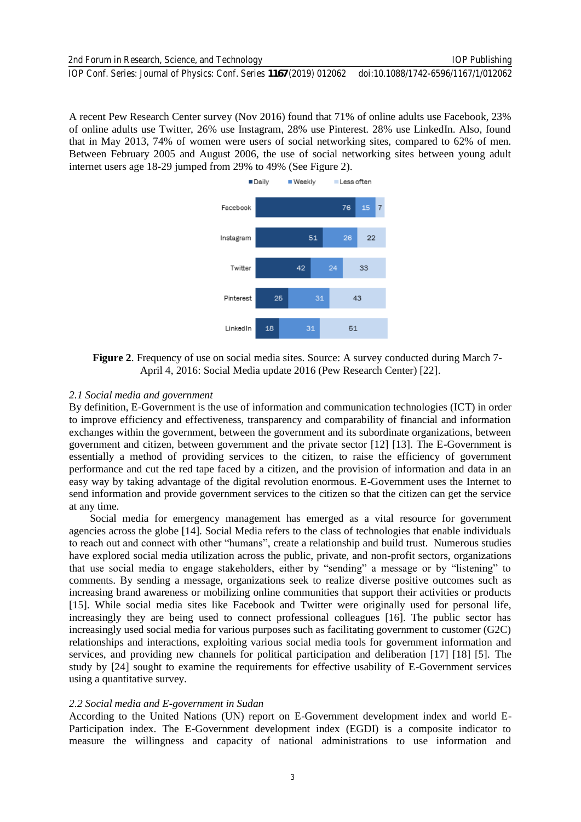A recent Pew Research Center survey (Nov 2016) found that 71% of online adults use Facebook, 23% of online adults use Twitter, 26% use Instagram, 28% use Pinterest. 28% use LinkedIn. Also, found that in May 2013, 74% of women were users of social networking sites, compared to 62% of men. Between February 2005 and August 2006, the use of social networking sites between young adult internet users age 18-29 jumped from 29% to 49% (See Figure 2).



**Figure 2**. Frequency of use on social media sites. Source: A survey conducted during March 7-April 4, 2016: Social Media update 2016 (Pew Research Center) [22].

# *2.1 Social media and government*

By definition, E-Government is the use of information and communication technologies (ICT) in order to improve efficiency and effectiveness, transparency and comparability of financial and information exchanges within the government, between the government and its subordinate organizations, between government and citizen, between government and the private sector [12] [13]. The E-Government is essentially a method of providing services to the citizen, to raise the efficiency of government performance and cut the red tape faced by a citizen, and the provision of information and data in an easy way by taking advantage of the digital revolution enormous. E-Government uses the Internet to send information and provide government services to the citizen so that the citizen can get the service at any time.

Social media for emergency management has emerged as a vital resource for government agencies across the globe [14]. Social Media refers to the class of technologies that enable individuals to reach out and connect with other "humans", create a relationship and build trust. Numerous studies have explored social media utilization across the public, private, and non-profit sectors, organizations that use social media to engage stakeholders, either by "sending" a message or by "listening" to comments. By sending a message, organizations seek to realize diverse positive outcomes such as increasing brand awareness or mobilizing online communities that support their activities or products [15]. While social media sites like Facebook and Twitter were originally used for personal life, increasingly they are being used to connect professional colleagues [16]. The public sector has increasingly used social media for various purposes such as facilitating government to customer (G2C) relationships and interactions, exploiting various social media tools for government information and services, and providing new channels for political participation and deliberation [17] [18] [5]. The study by [24] sought to examine the requirements for effective usability of E-Government services using a quantitative survey.

## *2.2 Social media and E-government in Sudan*

According to the United Nations (UN) report on E-Government development index and world E-Participation index. The E-Government development index (EGDI) is a composite indicator to measure the willingness and capacity of national administrations to use information and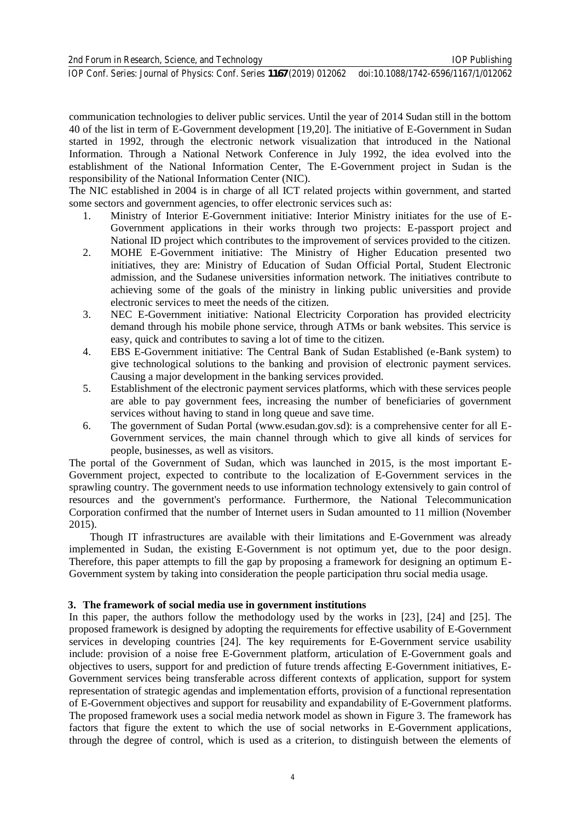communication technologies to deliver public services. Until the year of 2014 Sudan still in the bottom 40 of the list in term of E-Government development [19,20]. The initiative of E-Government in Sudan started in 1992, through the electronic network visualization that introduced in the National Information. Through a National Network Conference in July 1992, the idea evolved into the establishment of the National Information Center, The E-Government project in Sudan is the responsibility of the National Information Center (NIC).

The NIC established in 2004 is in charge of all ICT related projects within government, and started some sectors and government agencies, to offer electronic services such as:

- 1. Ministry of Interior E-Government initiative: Interior Ministry initiates for the use of E-Government applications in their works through two projects: E-passport project and National ID project which contributes to the improvement of services provided to the citizen.
- 2. MOHE E-Government initiative: The Ministry of Higher Education presented two initiatives, they are: Ministry of Education of Sudan Official Portal, Student Electronic admission, and the Sudanese universities information network. The initiatives contribute to achieving some of the goals of the ministry in linking public universities and provide electronic services to meet the needs of the citizen.
- 3. NEC E-Government initiative: National Electricity Corporation has provided electricity demand through his mobile phone service, through ATMs or bank websites. This service is easy, quick and contributes to saving a lot of time to the citizen.
- 4. EBS E-Government initiative: The Central Bank of Sudan Established (e-Bank system) to give technological solutions to the banking and provision of electronic payment services. Causing a major development in the banking services provided.
- 5. Establishment of the electronic payment services platforms, which with these services people are able to pay government fees, increasing the number of beneficiaries of government services without having to stand in long queue and save time.
- 6. The government of Sudan Portal (www.esudan.gov.sd): is a comprehensive center for all E-Government services, the main channel through which to give all kinds of services for people, businesses, as well as visitors.

The portal of the Government of Sudan, which was launched in 2015, is the most important E-Government project, expected to contribute to the localization of E-Government services in the sprawling country. The government needs to use information technology extensively to gain control of resources and the government's performance. Furthermore, the National Telecommunication Corporation confirmed that the number of Internet users in Sudan amounted to 11 million (November 2015).

Though IT infrastructures are available with their limitations and E-Government was already implemented in Sudan, the existing E-Government is not optimum yet, due to the poor design. Therefore, this paper attempts to fill the gap by proposing a framework for designing an optimum E-Government system by taking into consideration the people participation thru social media usage.

#### **3. The framework of social media use in government institutions**

In this paper, the authors follow the methodology used by the works in [23], [24] and [25]. The proposed framework is designed by adopting the requirements for effective usability of E-Government services in developing countries [24]. The key requirements for E-Government service usability include: provision of a noise free E-Government platform, articulation of E-Government goals and objectives to users, support for and prediction of future trends affecting E-Government initiatives, E-Government services being transferable across different contexts of application, support for system representation of strategic agendas and implementation efforts, provision of a functional representation of E-Government objectives and support for reusability and expandability of E-Government platforms. The proposed framework uses a social media network model as shown in Figure 3. The framework has factors that figure the extent to which the use of social networks in E-Government applications, through the degree of control, which is used as a criterion, to distinguish between the elements of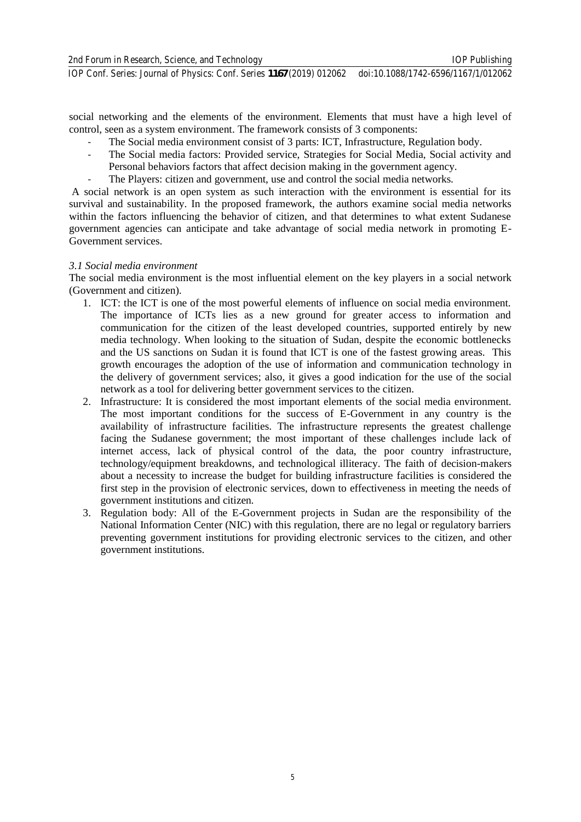social networking and the elements of the environment. Elements that must have a high level of control, seen as a system environment. The framework consists of 3 components:

- The Social media environment consist of 3 parts: ICT, Infrastructure, Regulation body.
- The Social media factors: Provided service, Strategies for Social Media, Social activity and Personal behaviors factors that affect decision making in the government agency.
- The Players: citizen and government, use and control the social media networks.

 A social network is an open system as such interaction with the environment is essential for its survival and sustainability. In the proposed framework, the authors examine social media networks within the factors influencing the behavior of citizen, and that determines to what extent Sudanese government agencies can anticipate and take advantage of social media network in promoting E-Government services.

#### *3.1 Social media environment*

The social media environment is the most influential element on the key players in a social network (Government and citizen).

- 1. ICT: the ICT is one of the most powerful elements of influence on social media environment. The importance of ICTs lies as a new ground for greater access to information and communication for the citizen of the least developed countries, supported entirely by new media technology. When looking to the situation of Sudan, despite the economic bottlenecks and the US sanctions on Sudan it is found that ICT is one of the fastest growing areas. This growth encourages the adoption of the use of information and communication technology in the delivery of government services; also, it gives a good indication for the use of the social network as a tool for delivering better government services to the citizen.
- 2. Infrastructure: It is considered the most important elements of the social media environment. The most important conditions for the success of E-Government in any country is the availability of infrastructure facilities. The infrastructure represents the greatest challenge facing the Sudanese government; the most important of these challenges include lack of internet access, lack of physical control of the data, the poor country infrastructure, technology/equipment breakdowns, and technological illiteracy. The faith of decision-makers about a necessity to increase the budget for building infrastructure facilities is considered the first step in the provision of electronic services, down to effectiveness in meeting the needs of government institutions and citizen.
- 3. Regulation body: All of the E-Government projects in Sudan are the responsibility of the National Information Center (NIC) with this regulation, there are no legal or regulatory barriers preventing government institutions for providing electronic services to the citizen, and other government institutions.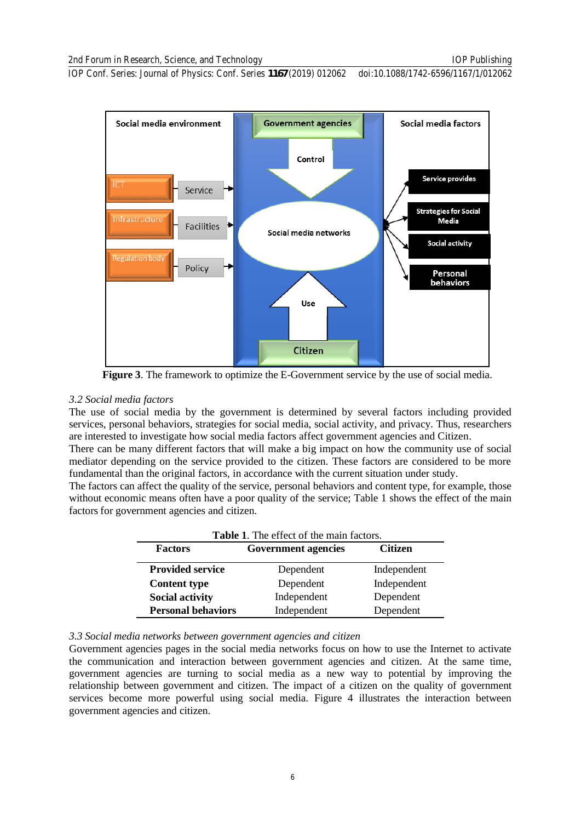

**Figure 3**. The framework to optimize the E-Government service by the use of social media.

## *3.2 Social media factors*

The use of social media by the government is determined by several factors including provided services, personal behaviors, strategies for social media, social activity, and privacy. Thus, researchers are interested to investigate how social media factors affect government agencies and Citizen.

There can be many different factors that will make a big impact on how the community use of social mediator depending on the service provided to the citizen. These factors are considered to be more fundamental than the original factors, in accordance with the current situation under study.

The factors can affect the quality of the service, personal behaviors and content type, for example, those without economic means often have a poor quality of the service; Table 1 shows the effect of the main factors for government agencies and citizen.

| <b>Table 1.</b> The effect of the main factors. |                            |                |
|-------------------------------------------------|----------------------------|----------------|
| <b>Factors</b>                                  | <b>Government agencies</b> | <b>Citizen</b> |
| <b>Provided service</b>                         | Dependent                  | Independent    |
| <b>Content type</b>                             | Dependent                  | Independent    |
| <b>Social activity</b>                          | Independent                | Dependent      |
| <b>Personal behaviors</b>                       | Independent                | Dependent      |

#### *3.3 Social media networks between government agencies and citizen*

Government agencies pages in the social media networks focus on how to use the Internet to activate the communication and interaction between government agencies and citizen. At the same time, government agencies are turning to social media as a new way to potential by improving the relationship between government and citizen. The impact of a citizen on the quality of government services become more powerful using social media. Figure 4 illustrates the interaction between government agencies and citizen.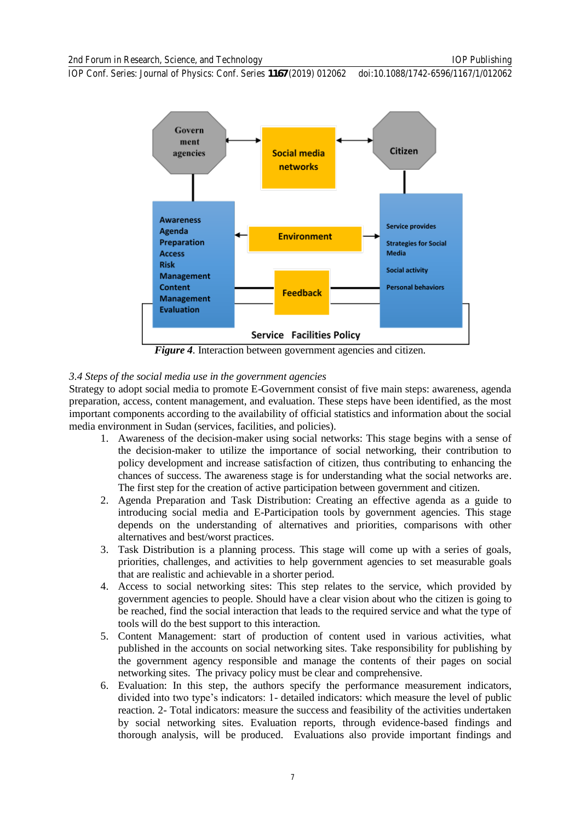

*Figure 4.* Interaction between government agencies and citizen.

## *3.4 Steps of the social media use in the government agencies*

Strategy to adopt social media to promote E-Government consist of five main steps: awareness, agenda preparation, access, content management, and evaluation. These steps have been identified, as the most important components according to the availability of official statistics and information about the social media environment in Sudan (services, facilities, and policies).

- 1. Awareness of the decision-maker using social networks: This stage begins with a sense of the decision-maker to utilize the importance of social networking, their contribution to policy development and increase satisfaction of citizen, thus contributing to enhancing the chances of success. The awareness stage is for understanding what the social networks are. The first step for the creation of active participation between government and citizen.
- 2. Agenda Preparation and Task Distribution: Creating an effective agenda as a guide to introducing social media and E-Participation tools by government agencies. This stage depends on the understanding of alternatives and priorities, comparisons with other alternatives and best/worst practices.
- 3. Task Distribution is a planning process. This stage will come up with a series of goals, priorities, challenges, and activities to help government agencies to set measurable goals that are realistic and achievable in a shorter period.
- 4. Access to social networking sites: This step relates to the service, which provided by government agencies to people. Should have a clear vision about who the citizen is going to be reached, find the social interaction that leads to the required service and what the type of tools will do the best support to this interaction.
- 5. Content Management: start of production of content used in various activities, what published in the accounts on social networking sites. Take responsibility for publishing by the government agency responsible and manage the contents of their pages on social networking sites. The privacy policy must be clear and comprehensive.
- 6. Evaluation: In this step, the authors specify the performance measurement indicators, divided into two type's indicators: 1- detailed indicators: which measure the level of public reaction. 2- Total indicators: measure the success and feasibility of the activities undertaken by social networking sites. Evaluation reports, through evidence-based findings and thorough analysis, will be produced. Evaluations also provide important findings and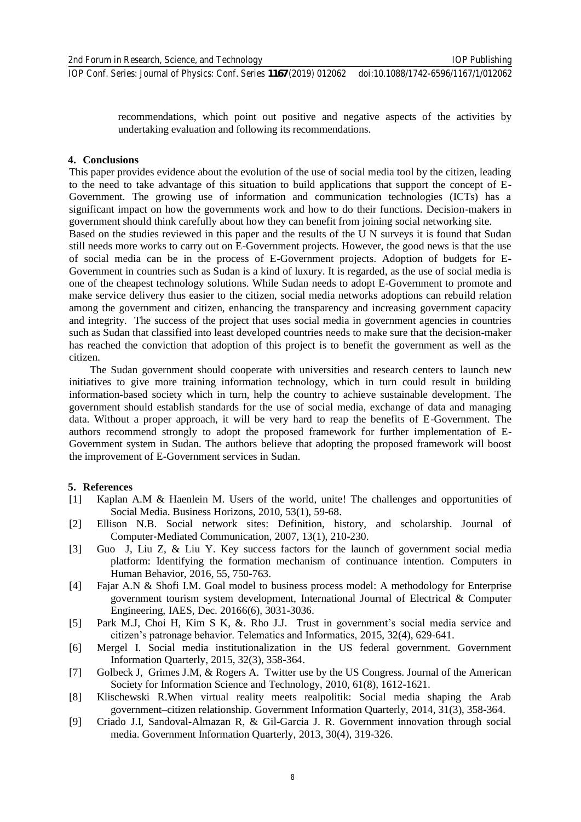recommendations, which point out positive and negative aspects of the activities by undertaking evaluation and following its recommendations.

## **4. Conclusions**

This paper provides evidence about the evolution of the use of social media tool by the citizen, leading to the need to take advantage of this situation to build applications that support the concept of E-Government. The growing use of information and communication technologies (ICTs) has a significant impact on how the governments work and how to do their functions. Decision-makers in government should think carefully about how they can benefit from joining social networking site.

Based on the studies reviewed in this paper and the results of the U N surveys it is found that Sudan still needs more works to carry out on E-Government projects. However, the good news is that the use of social media can be in the process of E-Government projects. Adoption of budgets for E-Government in countries such as Sudan is a kind of luxury. It is regarded, as the use of social media is one of the cheapest technology solutions. While Sudan needs to adopt E-Government to promote and make service delivery thus easier to the citizen, social media networks adoptions can rebuild relation among the government and citizen, enhancing the transparency and increasing government capacity and integrity. The success of the project that uses social media in government agencies in countries such as Sudan that classified into least developed countries needs to make sure that the decision-maker has reached the conviction that adoption of this project is to benefit the government as well as the citizen.

The Sudan government should cooperate with universities and research centers to launch new initiatives to give more training information technology, which in turn could result in building information-based society which in turn, help the country to achieve sustainable development. The government should establish standards for the use of social media, exchange of data and managing data. Without a proper approach, it will be very hard to reap the benefits of E-Government. The authors recommend strongly to adopt the proposed framework for further implementation of E-Government system in Sudan. The authors believe that adopting the proposed framework will boost the improvement of E-Government services in Sudan.

#### **5. References**

- [1] Kaplan A.M & Haenlein M. Users of the world, unite! The challenges and opportunities of Social Media. Business Horizons, 2010, 53(1), 59-68.
- [2] Ellison N.B. Social network sites: Definition, history, and scholarship. Journal of Computer‐Mediated Communication, 2007, 13(1), 210-230.
- [3] Guo J, Liu Z, & Liu Y. Key success factors for the launch of government social media platform: Identifying the formation mechanism of continuance intention. Computers in Human Behavior, 2016, 55, 750-763.
- [4] Fajar A.N & Shofi I.M. Goal model to business process model: A methodology for Enterprise government tourism system development, International Journal of Electrical & Computer Engineering, IAES, Dec. 20166(6), 3031-3036.
- [5] Park M.J, Choi H, Kim S K, &. Rho J.J. Trust in government's social media service and citizen's patronage behavior. Telematics and Informatics, 2015, 32(4), 629-641.
- [6] Mergel I. Social media institutionalization in the US federal government. Government Information Quarterly, 2015, 32(3), 358-364.
- [7] Golbeck J, Grimes J.M, & Rogers A. Twitter use by the US Congress. Journal of the American Society for Information Science and Technology, 2010, 61(8), 1612-1621.
- [8] Klischewski R.When virtual reality meets realpolitik: Social media shaping the Arab government–citizen relationship. Government Information Quarterly, 2014, 31(3), 358-364.
- [9] Criado J.I, Sandoval-Almazan R, & Gil-Garcia J. R. Government innovation through social media. Government Information Quarterly, 2013, 30(4), 319-326.